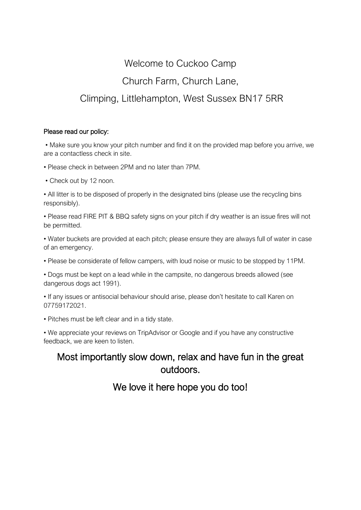## Welcome to Cuckoo Camp Church Farm, Church Lane, Climping, Littlehampton, West Sussex BN17 5RR

## Please read our policy:

• Make sure you know your pitch number and find it on the provided map before you arrive, we are a contactless check in site.

• Please check in between 2PM and no later than 7PM.

• Check out by 12 noon.

• All litter is to be disposed of properly in the designated bins (please use the recycling bins responsibly).

• Please read FIRE PIT & BBQ safety signs on your pitch if dry weather is an issue fires will not be permitted.

• Water buckets are provided at each pitch; please ensure they are always full of water in case of an emergency.

• Please be considerate of fellow campers, with loud noise or music to be stopped by 11PM.

• Dogs must be kept on a lead while in the campsite, no dangerous breeds allowed (see dangerous dogs act 1991).

• If any issues or antisocial behaviour should arise, please don't hesitate to call Karen on 07759172021.

• Pitches must be left clear and in a tidy state.

• We appreciate your reviews on TripAdvisor or Google and if you have any constructive feedback, we are keen to listen.

## Most importantly slow down, relax and have fun in the great outdoors.

## We love it here hope you do too!